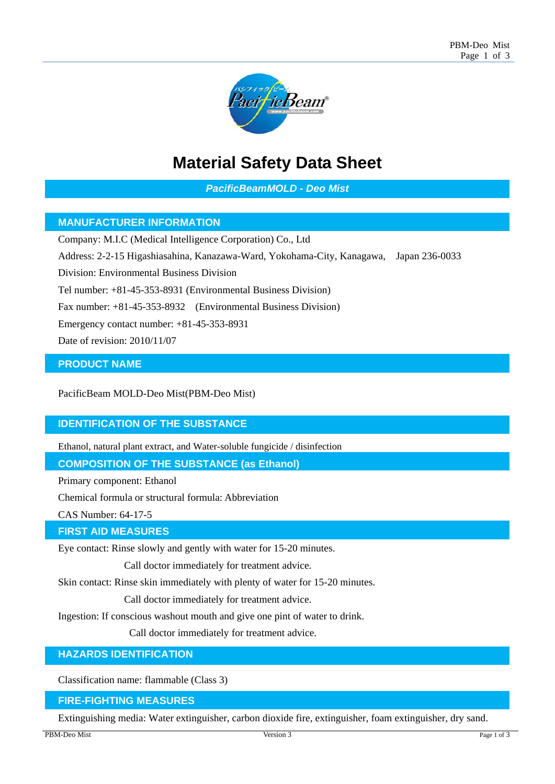

# **Material Safety Data Sheet**

*PacificBeamMOLD - Deo Mist* 

# **MANUFACTURER INFORMATION**

Company: M.I.C (Medical Intelligence Corporation) Co., Ltd

Address: 2-2-15 Higashiasahina, Kanazawa-Ward, Yokohama-City, Kanagawa, Japan 236-0033

Division: Environmental Business Division

Tel number: +81-45-353-8931 (Environmental Business Division)

Fax number: +81-45-353-8932 (Environmental Business Division)

Emergency contact number: +81-45-353-8931

Date of revision: 2010/11/07

## **PRODUCT NAME**

PacificBeam MOLD-Deo Mist(PBM-Deo Mist)

## **IDENTIFICATION OF THE SUBSTANCE**

Ethanol, natural plant extract, and Water-soluble fungicide / disinfection

**COMPOSITION OF THE SUBSTANCE (as Ethanol)** 

Primary component: Ethanol

Chemical formula or structural formula: Abbreviation

CAS Number: 64-17-5

#### **FIRST AID MEASURES**

Eye contact: Rinse slowly and gently with water for 15-20 minutes.

Call doctor immediately for treatment advice.

Skin contact: Rinse skin immediately with plenty of water for 15-20 minutes.

Call doctor immediately for treatment advice.

Ingestion: If conscious washout mouth and give one pint of water to drink.

Call doctor immediately for treatment advice.

#### **HAZARDS IDENTIFICATION**

Classification name: flammable (Class 3)

#### **FIRE-FIGHTING MEASURES**

Extinguishing media: Water extinguisher, carbon dioxide fire, extinguisher, foam extinguisher, dry sand.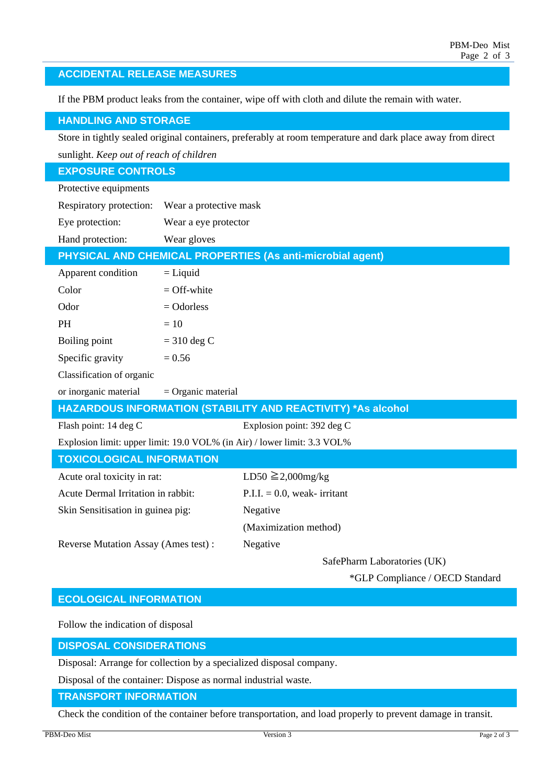| If the PBM product leaks from the container, wipe off with cloth and dilute the remain with water.          |                        |                                    |  |
|-------------------------------------------------------------------------------------------------------------|------------------------|------------------------------------|--|
| <b>HANDLING AND STORAGE</b>                                                                                 |                        |                                    |  |
| Store in tightly sealed original containers, preferably at room temperature and dark place away from direct |                        |                                    |  |
| sunlight. Keep out of reach of children                                                                     |                        |                                    |  |
| <b>EXPOSURE CONTROLS</b>                                                                                    |                        |                                    |  |
| Protective equipments                                                                                       |                        |                                    |  |
| Respiratory protection:                                                                                     | Wear a protective mask |                                    |  |
| Eye protection:                                                                                             | Wear a eye protector   |                                    |  |
| Hand protection:                                                                                            | Wear gloves            |                                    |  |
| <b>PHYSICAL AND CHEMICAL PROPERTIES (As anti-microbial agent)</b>                                           |                        |                                    |  |
| Apparent condition                                                                                          | $=$ Liquid             |                                    |  |
| Color                                                                                                       | $=$ Off-white          |                                    |  |
| Odor                                                                                                        | $=$ Odorless           |                                    |  |
| <b>PH</b>                                                                                                   | $=10$                  |                                    |  |
| Boiling point                                                                                               | $=$ 310 deg C          |                                    |  |
| Specific gravity                                                                                            | $= 0.56$               |                                    |  |
| Classification of organic                                                                                   |                        |                                    |  |
| or inorganic material                                                                                       | $=$ Organic material   |                                    |  |
| HAZARDOUS INFORMATION (STABILITY AND REACTIVITY) *As alcohol                                                |                        |                                    |  |
| Flash point: 14 deg C                                                                                       |                        | Explosion point: 392 deg C         |  |
| Explosion limit: upper limit: 19.0 VOL% (in Air) / lower limit: 3.3 VOL%                                    |                        |                                    |  |
| <b>TOXICOLOGICAL INFORMATION</b>                                                                            |                        |                                    |  |
| Acute oral toxicity in rat:                                                                                 |                        | LD50 $\geq$ 2,000mg/kg             |  |
| Acute Dermal Irritation in rabbit:                                                                          |                        | $P.I.I. = 0.0$ , weak-irritant     |  |
| Skin Sensitisation in guinea pig:                                                                           |                        | Negative                           |  |
|                                                                                                             |                        | (Maximization method)              |  |
| Reverse Mutation Assay (Ames test):                                                                         |                        | Negative                           |  |
|                                                                                                             |                        | $C_0$ fo Dhoma I ohomatomica (III) |  |

# **ACCIDENTAL RELEASE MEASURES**

SafePharm Laboratories (UK)

\*GLP Compliance / OECD Standard

# **ECOLOGICAL INFORMATION**

Follow the indication of disposal

**DISPOSAL CONSIDERATIONS** 

Disposal: Arrange for collection by a specialized disposal company.

Disposal of the container: Dispose as normal industrial waste.

**TRANSPORT INFORMATION**

Check the condition of the container before transportation, and load properly to prevent damage in transit.